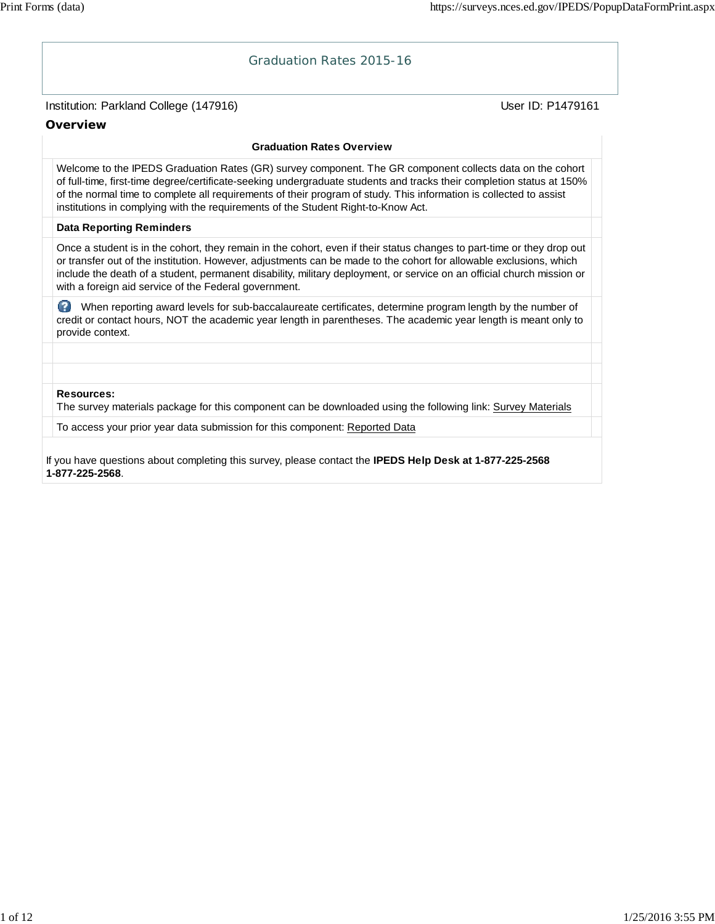**Overview**

# Institution: Parkland College (147916) November 2012 12: Physics User ID: P1479161 Graduation Rates 2015-16 **Graduation Rates Overview** Welcome to the IPEDS Graduation Rates (GR) survey component. The GR component collects data on the cohort of full-time, first-time degree/certificate-seeking undergraduate students and tracks their completion status at 150% of the normal time to complete all requirements of their program of study. This information is collected to assist institutions in complying with the requirements of the Student Right-to-Know Act. **Data Reporting Reminders** Once a student is in the cohort, they remain in the cohort, even if their status changes to part-time or they drop out or transfer out of the institution. However, adjustments can be made to the cohort for allowable exclusions, which include the death of a student, permanent disability, military deployment, or service on an official church mission or with a foreign aid service of the Federal government. When reporting award levels for sub-baccalaureate certificates, determine program length by the number of credit or contact hours, NOT the academic year length in parentheses. The academic year length is meant only to provide context.

#### **Resources:**

The survey materials package for this component can be downloaded using the following link: Survey Materials

To access your prior year data submission for this component: Reported Data

If you have questions about completing this survey, please contact the **IPEDS Help Desk at 1-877-225-2568 1-877-225-2568**.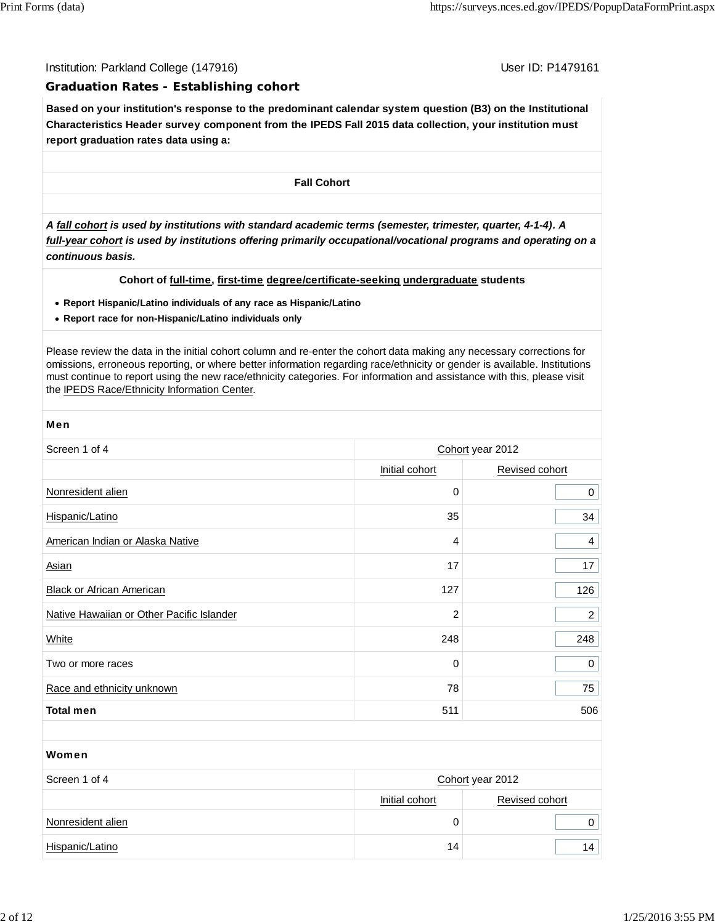Institution: Parkland College (147916) November 2012 12: P1479161

#### **Graduation Rates - Establishing cohort**

**Based on your institution's response to the predominant calendar system question (B3) on the Institutional Characteristics Header survey component from the IPEDS Fall 2015 data collection, your institution must report graduation rates data using a:**

**Fall Cohort**

*A fall cohort is used by institutions with standard academic terms (semester, trimester, quarter, 4-1-4). A full-year cohort is used by institutions offering primarily occupational/vocational programs and operating on a continuous basis.*

#### **Cohort of full-time, first-time degree/certificate-seeking undergraduate students**

- **Report Hispanic/Latino individuals of any race as Hispanic/Latino**
- **Report race for non-Hispanic/Latino individuals only**

Please review the data in the initial cohort column and re-enter the cohort data making any necessary corrections for omissions, erroneous reporting, or where better information regarding race/ethnicity or gender is available. Institutions must continue to report using the new race/ethnicity categories. For information and assistance with this, please visit the IPEDS Race/Ethnicity Information Center.

| Screen 1 of 4                             | Cohort year 2012 |                |  |  |
|-------------------------------------------|------------------|----------------|--|--|
|                                           | Initial cohort   | Revised cohort |  |  |
| Nonresident alien                         | $\mathbf 0$      | 0              |  |  |
| Hispanic/Latino                           | 35               | 34             |  |  |
| American Indian or Alaska Native          | 4                | 4              |  |  |
| Asian                                     | 17               | 17             |  |  |
| <b>Black or African American</b>          | 127              | 126            |  |  |
| Native Hawaiian or Other Pacific Islander | $\overline{c}$   | $\overline{c}$ |  |  |
| White                                     | 248              | 248            |  |  |
| Two or more races                         | 0                | 0              |  |  |
| Race and ethnicity unknown                | 78               | 75             |  |  |
| <b>Total men</b>                          | 511              | 506            |  |  |

#### Women

| Screen 1 of 4     | Cohort year 2012 |                |  |
|-------------------|------------------|----------------|--|
|                   | Initial cohort   | Revised cohort |  |
| Nonresident alien |                  |                |  |
| Hispanic/Latino   | 14               |                |  |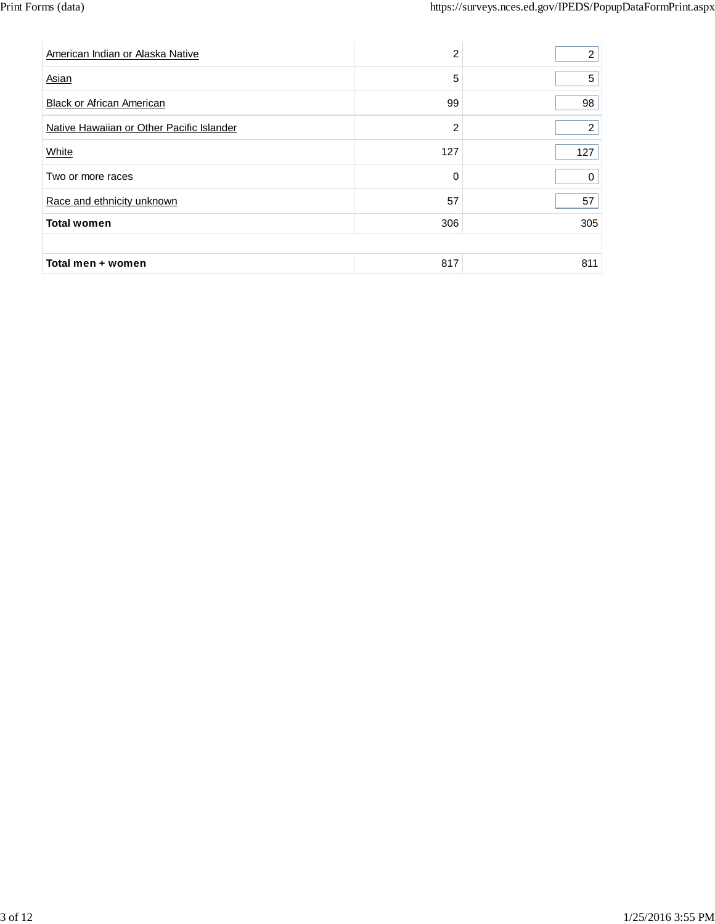| American Indian or Alaska Native          | $\overline{2}$ | $\overline{2}$ |
|-------------------------------------------|----------------|----------------|
| Asian                                     | 5              | 5              |
| <b>Black or African American</b>          | 99             | 98             |
| Native Hawaiian or Other Pacific Islander | 2              | $\overline{2}$ |
| White                                     | 127            | 127            |
| Two or more races                         | 0              | 0              |
| Race and ethnicity unknown                | 57             | 57             |
| <b>Total women</b>                        | 306            | 305            |
|                                           |                |                |
| Total men + women                         | 817            | 811            |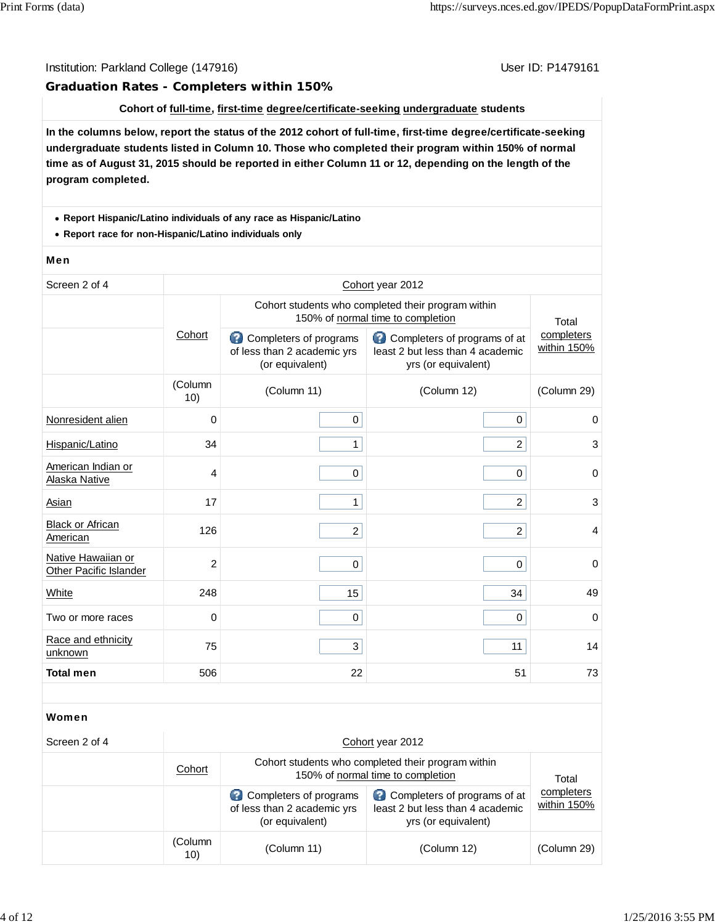#### Institution: Parkland College (147916) November 2012 12: P1479161

#### **Graduation Rates - Completers within 150%**

#### **Cohort of full-time, first-time degree/certificate-seeking undergraduate students**

**In the columns below, report the status of the 2012 cohort of full-time, first-time degree/certificate-seeking undergraduate students listed in Column 10. Those who completed their program within 150% of normal time as of August 31, 2015 should be reported in either Column 11 or 12, depending on the length of the program completed.**

#### **Report Hispanic/Latino individuals of any race as Hispanic/Latino**

**Report race for non-Hispanic/Latino individuals only**

#### Men

| Screen 2 of 4                                | Cohort year 2012 |                                                                          |                                                                                         |                           |  |
|----------------------------------------------|------------------|--------------------------------------------------------------------------|-----------------------------------------------------------------------------------------|---------------------------|--|
|                                              |                  |                                                                          | Cohort students who completed their program within<br>150% of normal time to completion | Total                     |  |
|                                              | Cohort           | Completers of programs<br>of less than 2 academic yrs<br>(or equivalent) | Completers of programs of at<br>least 2 but less than 4 academic<br>yrs (or equivalent) | completers<br>within 150% |  |
|                                              | (Column<br>10)   | (Column 11)                                                              | (Column 12)                                                                             | (Column 29)               |  |
| Nonresident alien                            | $\mathbf 0$      | 0                                                                        | 0                                                                                       | $\mathbf 0$               |  |
| Hispanic/Latino                              | 34               | $\mathbf{1}$                                                             | $\overline{a}$                                                                          | 3                         |  |
| American Indian or<br>Alaska Native          | $\overline{4}$   | 0                                                                        | $\pmb{0}$                                                                               | $\mathbf 0$               |  |
| Asian                                        | 17               | $\mathbf{1}$                                                             | $\overline{2}$                                                                          | 3                         |  |
| <b>Black or African</b><br>American          | 126              | $\overline{2}$                                                           | $\overline{2}$                                                                          | $\overline{4}$            |  |
| Native Hawaiian or<br>Other Pacific Islander | $\overline{c}$   | 0                                                                        | $\mathbf 0$                                                                             | $\mathbf 0$               |  |
| White                                        | 248              | 15                                                                       | 34                                                                                      | 49                        |  |
| Two or more races                            | $\mathbf 0$      | 0                                                                        | 0                                                                                       | $\mathbf 0$               |  |
| Race and ethnicity<br>unknown                | 75               | 3                                                                        | 11                                                                                      | 14                        |  |
| <b>Total men</b>                             | 506              | 22                                                                       | 51                                                                                      | 73                        |  |
|                                              |                  |                                                                          |                                                                                         |                           |  |
| Women                                        |                  |                                                                          |                                                                                         |                           |  |

| Screen 2 of 4 |                | Cohort year 2012                                                                        |                                                                                         |                           |  |  |
|---------------|----------------|-----------------------------------------------------------------------------------------|-----------------------------------------------------------------------------------------|---------------------------|--|--|
|               | Cohort         | Cohort students who completed their program within<br>150% of normal time to completion | Total                                                                                   |                           |  |  |
|               |                | Completers of programs<br>of less than 2 academic yrs<br>(or equivalent)                | Completers of programs of at<br>least 2 but less than 4 academic<br>yrs (or equivalent) | completers<br>within 150% |  |  |
|               | (Column<br>10) | (Column 11)                                                                             | (Column 12)                                                                             | (Column 29)               |  |  |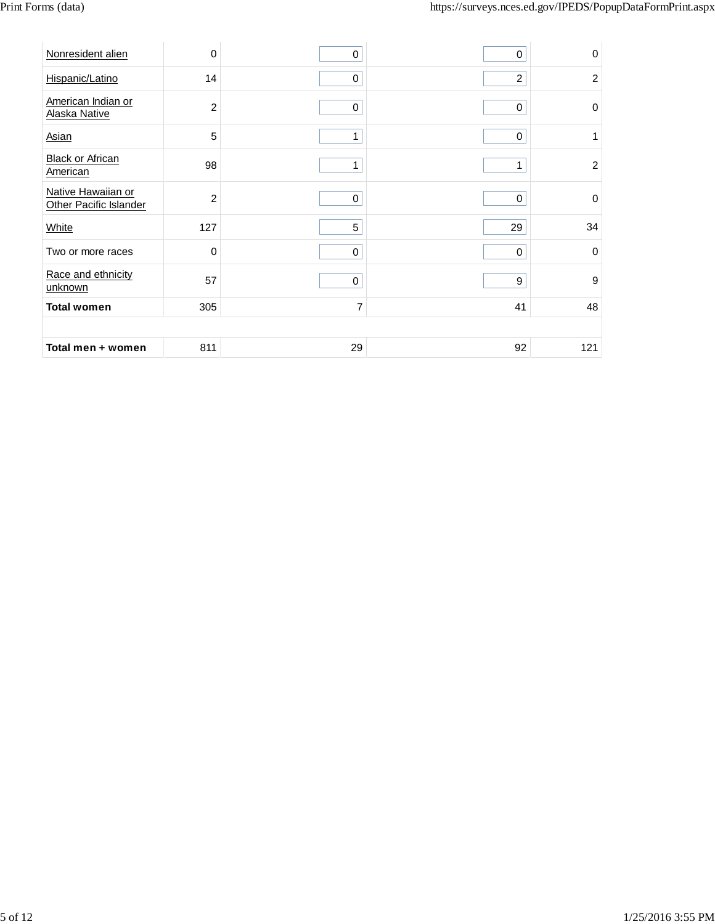| Nonresident alien                                   | $\mathbf 0$    | 0              | 0                | $\mathbf 0$    |
|-----------------------------------------------------|----------------|----------------|------------------|----------------|
| Hispanic/Latino                                     | 14             | $\pmb{0}$      | $\overline{c}$   | $\overline{c}$ |
| American Indian or<br>Alaska Native                 | $\sqrt{2}$     | $\mathbf 0$    | $\pmb{0}$        | $\mathbf 0$    |
| Asian                                               | 5              | 1              | $\mathbf 0$      | 1              |
| <b>Black or African</b><br>American                 | 98             | 1              | 1                | $\overline{2}$ |
| Native Hawaiian or<br><b>Other Pacific Islander</b> | $\overline{c}$ | $\pmb{0}$      | $\boldsymbol{0}$ | $\mathbf 0$    |
| White                                               | 127            | 5              | 29               | 34             |
| Two or more races                                   | $\mathbf 0$    | $\mathbf 0$    | $\mathbf 0$      | $\mathbf 0$    |
| Race and ethnicity<br>unknown                       | 57             | $\pmb{0}$      | $\boldsymbol{9}$ | 9              |
| <b>Total women</b>                                  | 305            | $\overline{7}$ | 41               | 48             |
|                                                     |                |                |                  |                |
| Total men + women                                   | 811            | 29             | 92               | 121            |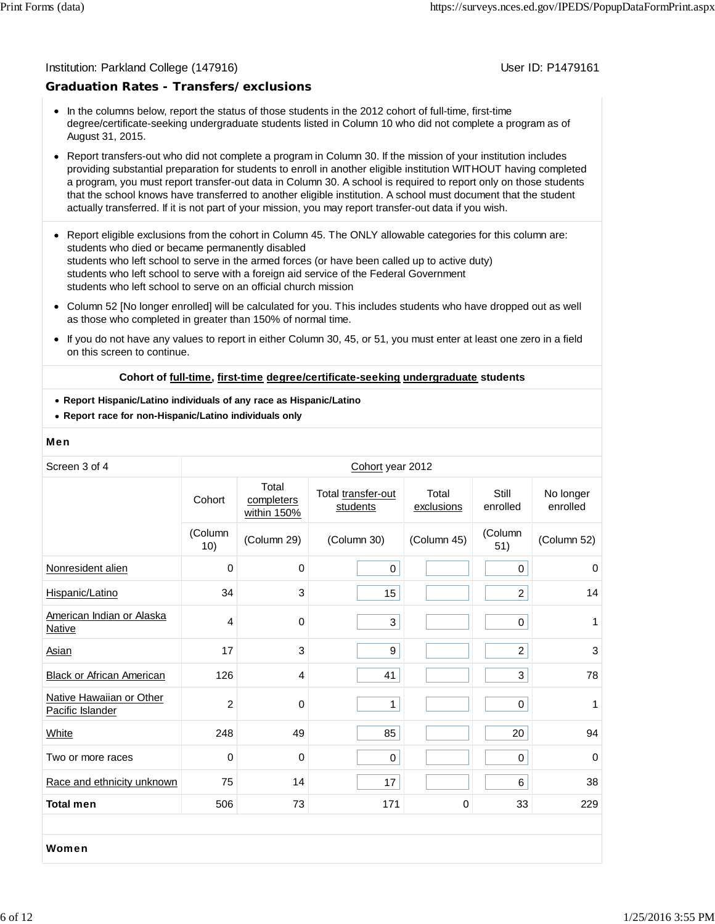#### Institution: Parkland College (147916) November 2012 12: P1479161

#### **Graduation Rates - Transfers/exclusions**

- In the columns below, report the status of those students in the 2012 cohort of full-time, first-time degree/certificate-seeking undergraduate students listed in Column 10 who did not complete a program as of August 31, 2015.
- Report transfers-out who did not complete a program in Column 30. If the mission of your institution includes providing substantial preparation for students to enroll in another eligible institution WITHOUT having completed a program, you must report transfer-out data in Column 30. A school is required to report only on those students that the school knows have transferred to another eligible institution. A school must document that the student actually transferred. If it is not part of your mission, you may report transfer-out data if you wish.
- Report eligible exclusions from the cohort in Column 45. The ONLY allowable categories for this column are: students who died or became permanently disabled students who left school to serve in the armed forces (or have been called up to active duty) students who left school to serve with a foreign aid service of the Federal Government students who left school to serve on an official church mission
- Column 52 [No longer enrolled] will be calculated for you. This includes students who have dropped out as well as those who completed in greater than 150% of normal time.
- $\bullet$ If you do not have any values to report in either Column 30, 45, or 51, you must enter at least one zero in a field on this screen to continue.

#### **Cohort of full-time, first-time degree/certificate-seeking undergraduate students**

- **Report Hispanic/Latino individuals of any race as Hispanic/Latino**
- **Report race for non-Hispanic/Latino individuals only**

#### Men

| Screen 3 of 4                                | Cohort year 2012 |                                    |                                |                     |                   |                       |
|----------------------------------------------|------------------|------------------------------------|--------------------------------|---------------------|-------------------|-----------------------|
|                                              | Cohort           | Total<br>completers<br>within 150% | Total transfer-out<br>students | Total<br>exclusions | Still<br>enrolled | No longer<br>enrolled |
|                                              | (Column<br>10)   | (Column 29)                        | (Column 30)                    | (Column 45)         | (Column<br>51)    | (Column 52)           |
| Nonresident alien                            | 0                | 0                                  | $\mathsf{O}\xspace$            |                     | $\mathbf 0$       | 0                     |
| Hispanic/Latino                              | 34               | 3                                  | 15                             |                     | $\overline{a}$    | 14                    |
| American Indian or Alaska<br>Native          | 4                | 0                                  | 3                              |                     | $\pmb{0}$         | 1                     |
| Asian                                        | 17               | 3                                  | 9                              |                     | $\overline{2}$    | 3                     |
| <b>Black or African American</b>             | 126              | 4                                  | 41                             |                     | 3                 | 78                    |
| Native Hawaiian or Other<br>Pacific Islander | $\overline{2}$   | 0                                  | $\mathbf{1}$                   |                     | 0                 | 1                     |
| White                                        | 248              | 49                                 | 85                             |                     | 20                | 94                    |
| Two or more races                            | $\mathbf 0$      | $\mathbf 0$                        | $\mathbf 0$                    |                     | $\pmb{0}$         | $\Omega$              |
| Race and ethnicity unknown                   | 75               | 14                                 | 17                             |                     | 6                 | 38                    |
| <b>Total men</b>                             | 506              | 73                                 | 171                            | $\mathbf 0$         | 33                | 229                   |
|                                              |                  |                                    |                                |                     |                   |                       |
| Women                                        |                  |                                    |                                |                     |                   |                       |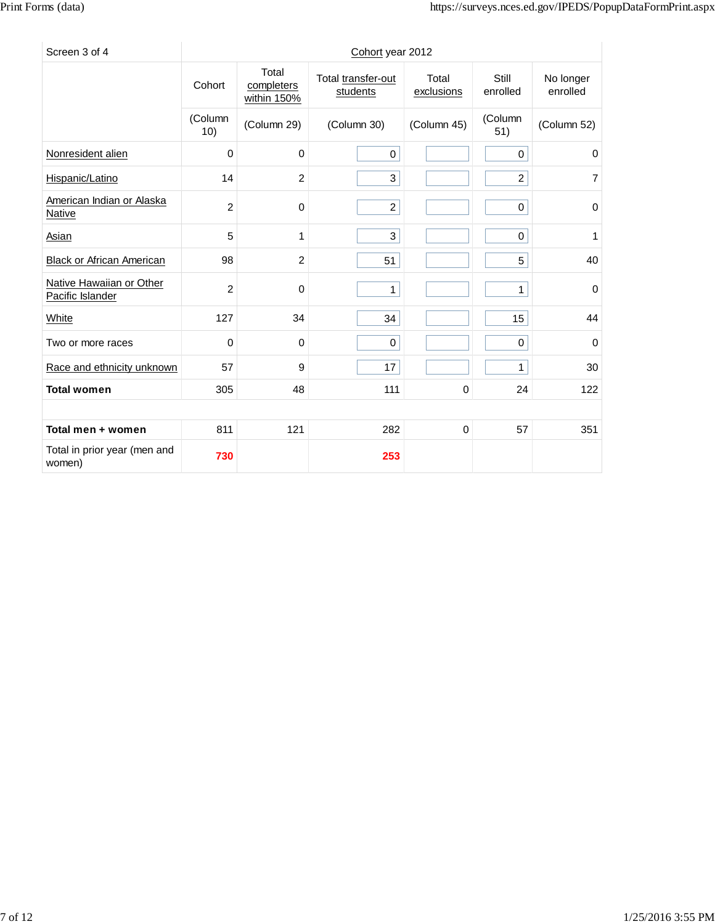| Screen 3 of 4                                |                |                                    | Cohort year 2012               |                     |                   |                       |
|----------------------------------------------|----------------|------------------------------------|--------------------------------|---------------------|-------------------|-----------------------|
|                                              | Cohort         | Total<br>completers<br>within 150% | Total transfer-out<br>students | Total<br>exclusions | Still<br>enrolled | No longer<br>enrolled |
|                                              | (Column<br>10) | (Column 29)                        | (Column 30)                    | (Column 45)         | (Column<br>51)    | (Column 52)           |
| Nonresident alien                            | $\mathbf 0$    | $\mathbf 0$                        | $\boldsymbol{0}$               |                     | $\pmb{0}$         | 0                     |
| Hispanic/Latino                              | 14             | $\overline{2}$                     | 3                              |                     | $\overline{2}$    | 7                     |
| American Indian or Alaska<br><b>Native</b>   | $\overline{c}$ | 0                                  | $\overline{a}$                 |                     | $\pmb{0}$         | 0                     |
| Asian                                        | 5              | 1                                  | 3                              |                     | $\pmb{0}$         | 1                     |
| <b>Black or African American</b>             | 98             | $\overline{2}$                     | 51                             |                     | 5                 | 40                    |
| Native Hawaiian or Other<br>Pacific Islander | 2              | $\mathbf 0$                        | $\mathbf{1}$                   |                     | $\mathbf{1}$      | 0                     |
| White                                        | 127            | 34                                 | 34                             |                     | 15                | 44                    |
| Two or more races                            | 0              | 0                                  | $\mathbf 0$                    |                     | $\mathbf 0$       | 0                     |
| Race and ethnicity unknown                   | 57             | 9                                  | 17                             |                     | $\mathbf{1}$      | 30                    |
| <b>Total women</b>                           | 305            | 48                                 | 111                            | 0                   | 24                | 122                   |
|                                              |                |                                    |                                |                     |                   |                       |
| Total men + women                            | 811            | 121                                | 282                            | $\mathbf 0$         | 57                | 351                   |
| Total in prior year (men and<br>women)       | 730            |                                    | 253                            |                     |                   |                       |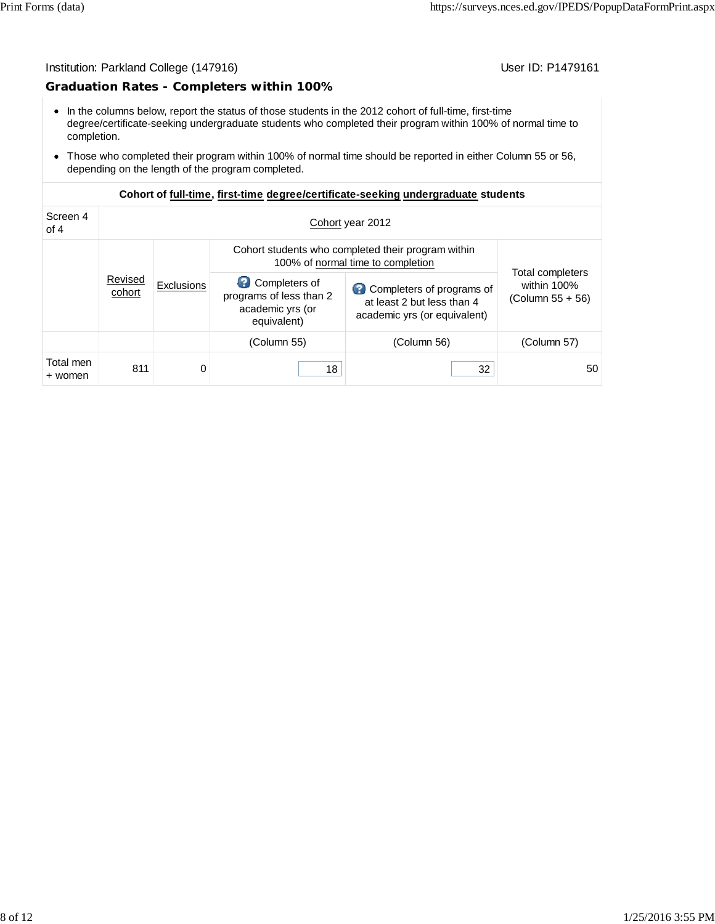#### Institution: Parkland College (147916) Contract College (147916)

#### **Graduation Rates - Completers within 100%**

- In the columns below, report the status of those students in the 2012 cohort of full-time, first-time degree/certificate-seeking undergraduate students who completed their program within 100% of normal time to completion.
- Those who completed their program within 100% of normal time should be reported in either Column 55 or 56, depending on the length of the program completed.

| Screen 4<br>of $4$   |                   | Cohort year 2012                  |                                                                             |                                                                                         |                                                       |  |  |  |  |
|----------------------|-------------------|-----------------------------------|-----------------------------------------------------------------------------|-----------------------------------------------------------------------------------------|-------------------------------------------------------|--|--|--|--|
|                      |                   | 100% of normal time to completion |                                                                             | Cohort students who completed their program within                                      |                                                       |  |  |  |  |
|                      | Revised<br>cohort | <b>Exclusions</b>                 | Completers of<br>programs of less than 2<br>academic yrs (or<br>equivalent) | Completers of programs of<br>at least 2 but less than 4<br>academic yrs (or equivalent) | Total completers<br>within 100%<br>$(Column 55 + 56)$ |  |  |  |  |
|                      |                   |                                   | (Column 55)                                                                 | (Column 56)                                                                             | (Column 57)                                           |  |  |  |  |
| Total men<br>+ women | 811               | 0                                 | 18                                                                          | 32                                                                                      | 50                                                    |  |  |  |  |

#### **Cohort of full-time, first-time degree/certificate-seeking undergraduate students**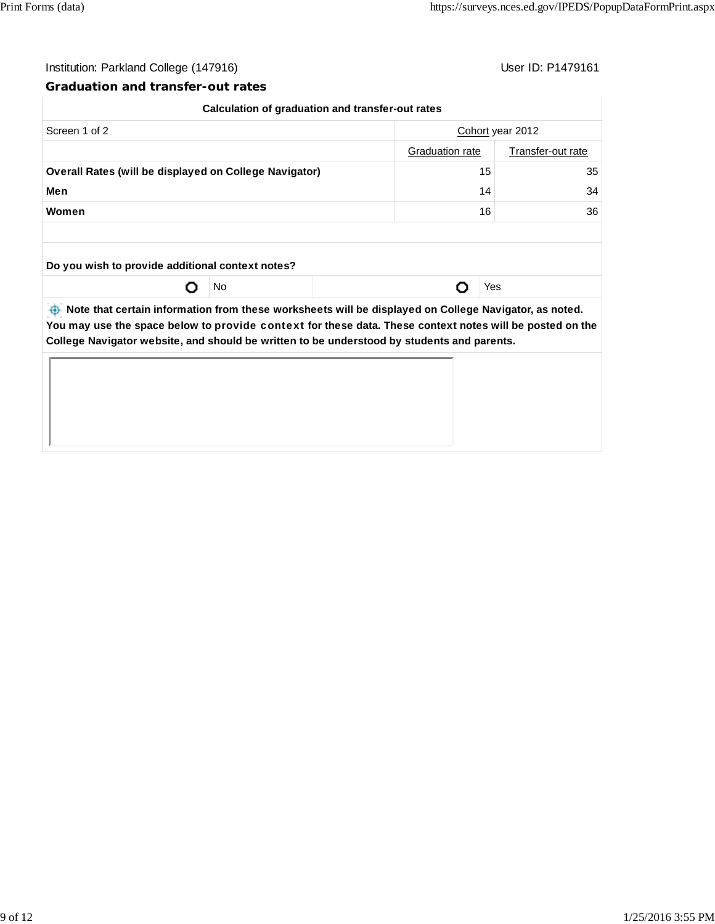$\mathbb{I}$ 

## Institution: Parkland College (147916) Contract College (147916)

#### **Graduation and transfer-out rates**

|                                                                                                |    | Calculation of graduation and transfer-out rates |                                      |     |  |  |
|------------------------------------------------------------------------------------------------|----|--------------------------------------------------|--------------------------------------|-----|--|--|
| Screen 1 of 2                                                                                  |    |                                                  | Cohort year 2012                     |     |  |  |
|                                                                                                |    |                                                  | Graduation rate<br>Transfer-out rate |     |  |  |
| <b>Overall Rates (will be displayed on College Navigator)</b>                                  |    | 35<br>15                                         |                                      |     |  |  |
| Men                                                                                            | 14 |                                                  |                                      | 34  |  |  |
| Women                                                                                          | 16 |                                                  |                                      | 36  |  |  |
|                                                                                                |    |                                                  |                                      |     |  |  |
| Do you wish to provide additional context notes?                                               |    |                                                  |                                      |     |  |  |
|                                                                                                | No |                                                  |                                      | Yes |  |  |
| between the part of the motion of the caucust will be displayed on College Navigator, as noted |    |                                                  |                                      |     |  |  |

 **Note that certain information from these worksheets will be displayed on College Navigator, as noted. You may use the space below to** provide context **for these data. These context notes will be posted on the College Navigator website, and should be written to be understood by students and parents.**

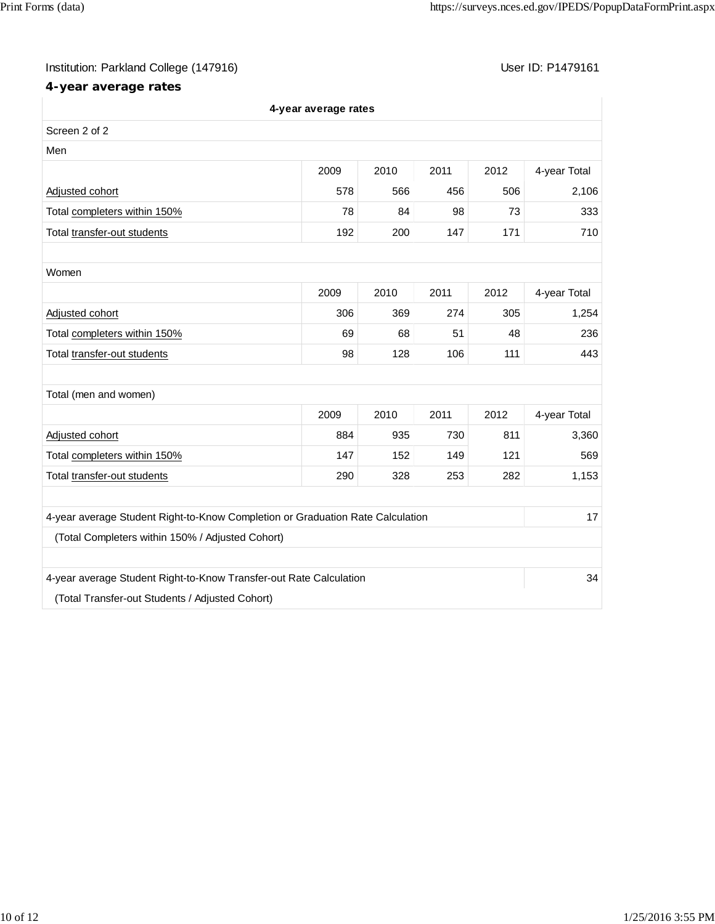# Institution: Parkland College (147916) Contract College (147916)

# **4-year average rates**

|                                                                                | 4-year average rates |      |      |      |              |
|--------------------------------------------------------------------------------|----------------------|------|------|------|--------------|
| Screen 2 of 2                                                                  |                      |      |      |      |              |
| Men                                                                            |                      |      |      |      |              |
|                                                                                | 2009                 | 2010 | 2011 | 2012 | 4-year Total |
| Adjusted cohort                                                                | 578                  | 566  | 456  | 506  | 2,106        |
| Total completers within 150%                                                   | 78                   | 84   | 98   | 73   | 333          |
| Total transfer-out students                                                    | 192                  | 200  | 147  | 171  | 710          |
|                                                                                |                      |      |      |      |              |
| Women                                                                          |                      |      |      |      |              |
|                                                                                | 2009                 | 2010 | 2011 | 2012 | 4-year Total |
| Adjusted cohort                                                                | 306                  | 369  | 274  | 305  | 1,254        |
| Total completers within 150%                                                   | 69                   | 68   | 51   | 48   | 236          |
| Total transfer-out students                                                    | 98                   | 128  | 106  | 111  | 443          |
|                                                                                |                      |      |      |      |              |
| Total (men and women)                                                          |                      |      |      |      |              |
|                                                                                | 2009                 | 2010 | 2011 | 2012 | 4-year Total |
| Adjusted cohort                                                                | 884                  | 935  | 730  | 811  | 3,360        |
| Total completers within 150%                                                   | 147                  | 152  | 149  | 121  | 569          |
| Total transfer-out students                                                    | 290                  | 328  | 253  | 282  | 1,153        |
|                                                                                |                      |      |      |      |              |
| 4-year average Student Right-to-Know Completion or Graduation Rate Calculation |                      |      |      |      | 17           |
| (Total Completers within 150% / Adjusted Cohort)                               |                      |      |      |      |              |
|                                                                                |                      |      |      |      |              |
| 4-year average Student Right-to-Know Transfer-out Rate Calculation             |                      |      |      |      | 34           |
| (Total Transfer-out Students / Adjusted Cohort)                                |                      |      |      |      |              |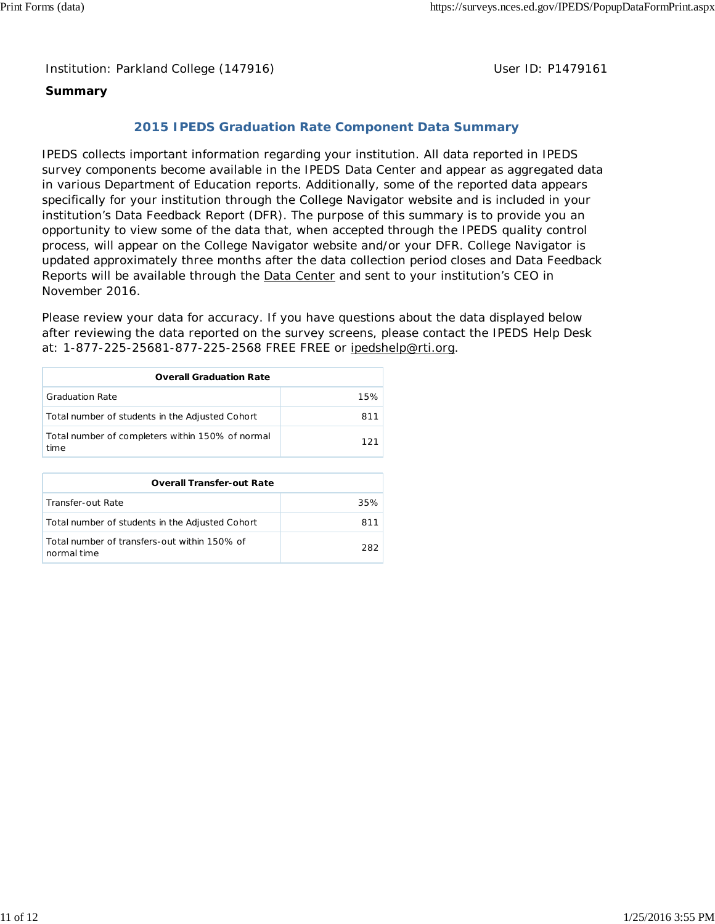Institution: Parkland College (147916) **Distribution: Parkland College (1479161** College College College College College College College College College College College College College College College College College Colle

# **Summary**

# **2015 IPEDS Graduation Rate Component Data Summary**

IPEDS collects important information regarding your institution. All data reported in IPEDS survey components become available in the IPEDS Data Center and appear as aggregated data in various Department of Education reports. Additionally, some of the reported data appears specifically for your institution through the College Navigator website and is included in your institution's Data Feedback Report (DFR). The purpose of this summary is to provide you an opportunity to view some of the data that, when accepted through the IPEDS quality control process, will appear on the College Navigator website and/or your DFR. College Navigator is updated approximately three months after the data collection period closes and Data Feedback Reports will be available through the **Data Center** and sent to your institution's CEO in November 2016.

Please review your data for accuracy. If you have questions about the data displayed below after reviewing the data reported on the survey screens, please contact the IPEDS Help Desk at: 1-877-225-25681-877-225-2568 FREE FREE or ipedshelp@rti.org.

| <b>Overall Graduation Rate</b>                           |      |  |  |  |  |
|----------------------------------------------------------|------|--|--|--|--|
| <b>Graduation Rate</b>                                   | 15%  |  |  |  |  |
| Total number of students in the Adjusted Cohort          |      |  |  |  |  |
| Total number of completers within 150% of normal<br>time | 121. |  |  |  |  |

| <b>Overall Transfer-out Rate</b>                            |       |
|-------------------------------------------------------------|-------|
| Transfer-out Rate                                           | 35%   |
| Total number of students in the Adjusted Cohort             |       |
| Total number of transfers-out within 150% of<br>normal time | 282.1 |